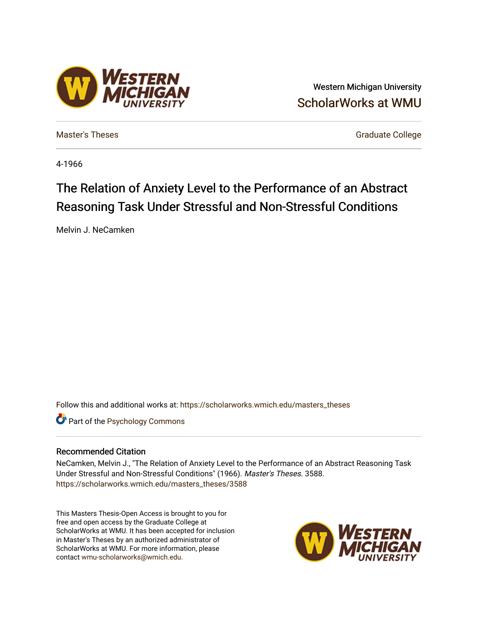## Western Michigan University [ScholarWorks at WMU](https://scholarworks.wmich.edu/)

**ESTERN** 

[Master's Theses](https://scholarworks.wmich.edu/masters_theses) [Graduate College](https://scholarworks.wmich.edu/grad) Controller College College College College College

4-1966

# The Relation of Anxiety Level to the Performance of an Abstract Reasoning Task Under Stressful and Non-Stressful Conditions

Melvin J. NeCamken

Follow this and additional works at: [https://scholarworks.wmich.edu/masters\\_theses](https://scholarworks.wmich.edu/masters_theses?utm_source=scholarworks.wmich.edu%2Fmasters_theses%2F3588&utm_medium=PDF&utm_campaign=PDFCoverPages) 

**Part of the Psychology Commons** 

### Recommended Citation

NeCamken, Melvin J., "The Relation of Anxiety Level to the Performance of an Abstract Reasoning Task Under Stressful and Non-Stressful Conditions" (1966). Master's Theses. 3588. [https://scholarworks.wmich.edu/masters\\_theses/3588](https://scholarworks.wmich.edu/masters_theses/3588?utm_source=scholarworks.wmich.edu%2Fmasters_theses%2F3588&utm_medium=PDF&utm_campaign=PDFCoverPages) 

This Masters Thesis-Open Access is brought to you for free and open access by the Graduate College at ScholarWorks at WMU. It has been accepted for inclusion in Master's Theses by an authorized administrator of ScholarWorks at WMU. For more information, please contact [wmu-scholarworks@wmich.edu](mailto:wmu-scholarworks@wmich.edu).

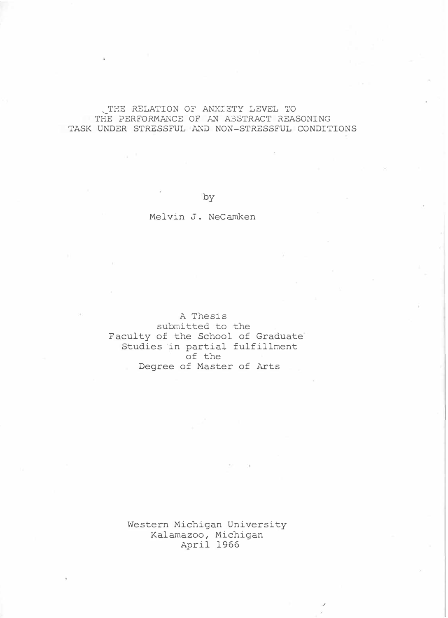### �THE RELATION OF ANXIETY LEVEL TO THE PERFORMANCE OF AN ABSTRACT REASONING TASK UNDER STRESSFUL AND NON-STRESSFUL CONDITIONS

by

### Melvin J. NeCamken

A Thesis submitted to the Faculty of the School of Graduate Studies 'in partial fulfillment of the Degree of Master of Arts

Western Michigan University Kalamazoo, Michigan April 1966

.,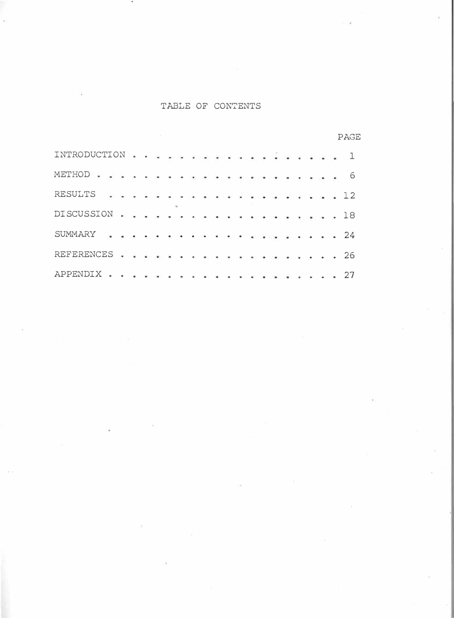TABLE OF CONTENTS

|                                                                                                                    |                                                                                                                                     |  |  |                                                                                                                                          |  |  |  |  |  |  | PAGE        |  |
|--------------------------------------------------------------------------------------------------------------------|-------------------------------------------------------------------------------------------------------------------------------------|--|--|------------------------------------------------------------------------------------------------------------------------------------------|--|--|--|--|--|--|-------------|--|
| INTRODUCTION 1                                                                                                     |                                                                                                                                     |  |  |                                                                                                                                          |  |  |  |  |  |  |             |  |
| METHOD<br>$\begin{array}{cccccccccccccc} \Box & \Box & \Box & \Box & \Box & \Box & \Box & \Box & \Box \end{array}$ |                                                                                                                                     |  |  | . <i>.</i>                                                                                                                               |  |  |  |  |  |  | - 6         |  |
| RESULTS                                                                                                            | $\begin{array}{cccccccccccccc} \bullet & \bullet & \bullet & \bullet & \bullet & \bullet & \bullet & \bullet & \bullet \end{array}$ |  |  | $\label{eq:2.1} \begin{array}{cccccccccccccc} \bullet & \bullet & \bullet & \bullet & \bullet & \bullet & \bullet & \bullet \end{array}$ |  |  |  |  |  |  | $\cdots$ 12 |  |
| DISCUSSION                                                                                                         |                                                                                                                                     |  |  |                                                                                                                                          |  |  |  |  |  |  | . 18        |  |
| SUMMARY                                                                                                            |                                                                                                                                     |  |  |                                                                                                                                          |  |  |  |  |  |  | 24          |  |
| REFERENCES                                                                                                         |                                                                                                                                     |  |  |                                                                                                                                          |  |  |  |  |  |  | 26          |  |
| <b>APPENDIX</b>                                                                                                    | $\sim$                                                                                                                              |  |  |                                                                                                                                          |  |  |  |  |  |  | 27          |  |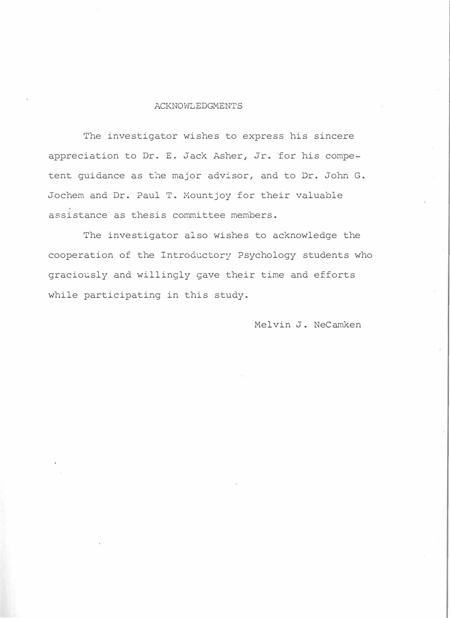#### ACKNOWLEDGMENTS

The investigator wishes to express his sincere appreciation to Dr. E. Jack Asher, Jr. for his competent guidance as the major advisor, and to Dr. John G. Jochem and Dr. Paul T. Mountjoy for their valuable assistance as thesis committee members.

The investigator also wishes to acknowledge the cooperation of the Introductory Psychology students who graciously and willingly gave their time and efforts while participating in this study.

Melvin J. NeCamken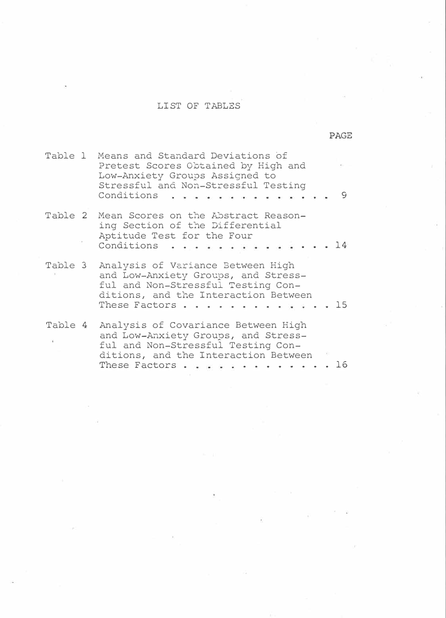### LIST OF TABLES

**PAGE** 

|               | Table 1 Means and Standard Deviations of<br>Pretest Scores Obtained by High and<br>Low-Anxiety Groups Assigned to                                        |   |
|---------------|----------------------------------------------------------------------------------------------------------------------------------------------------------|---|
|               | Stressful and Non-Stressful Testing<br>Conditions                                                                                                        | 9 |
|               | Table 2 Mean Scores on the Abstract Reason-<br>ing Section of the Differential<br>Aptitude Test for the Four                                             |   |
|               | Conditions<br>$\cdot$ $\cdot$ 14                                                                                                                         |   |
| Table 3       | Analysis of Variance Between High<br>and Low-Anxiety Groups, and Stress-<br>ful and Non-Stressful Testing Con-<br>ditions, and the Interaction Between   |   |
|               | $\ddots$ 15<br>These Factors<br>$\mathcal{L}$<br>$\sim$                                                                                                  |   |
| Table 4<br>H. | Analysis of Covariance Between High<br>and Low-Anxiety Groups, and Stress-<br>ful and Non-Stressful Testing Con-<br>ditions, and the Interaction Between |   |
|               |                                                                                                                                                          |   |

These Factors  $\cdots$  . . . . . . . . . . 16

 $\widetilde{\mathcal{D}}$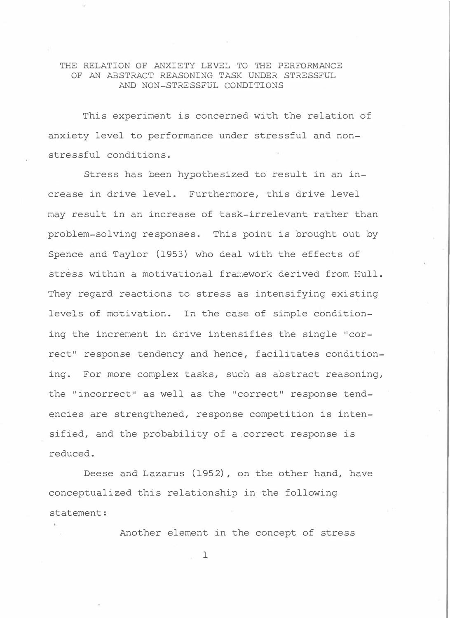### THE RELATION OF ANXIETY LEVEL TO THE PERFORMANCE OF AN ABSTRACT REASONING TASK UNDER STRESSFUL AND NON-STRESSFUL CONDITIONS

This experiment is concerned with the relation of anxiety level to performance under stressful and nonstressful conditions.

Stress has been hypothesized to result in an increase in drive level. Furthermore, this drive level may result in an increase of task-irrelevant rather than problem-solving responses. This point is brought out by Spence and Taylor (1953) who deal with the effects of stress within a motivational framework derived from Hull. They regard reactions to stress as intensifying existing levels of motivation. In the case of simple conditioning the increment in drive intensifies the single "correct" response tendency and hence, facilitates conditioning. For more complex tasks, such as abstract reasoning, the "incorrect" as well as the "correct" response tendencies are strengthened, response competition is intensified, and the probability of a.correct response is reduced.

Deese and Lazarus (1952), on the other hand, have conceptualized this relationship in the following statement:

Another element in the concept of stress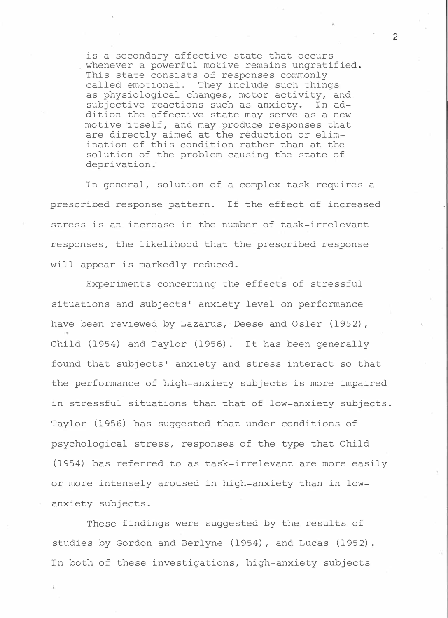is a secondary affective state that occurs whenever a powerful motive remains ungratified. This state consists of responses commonly called emotional. They include such things as physiological changes, motor activity, and subjective reactions such as anxiety. In addition the affective state may serve as a new motive itself, and may produce responses that are directly aimed at the reduction or elimination of this condition rather than at the solution of the problem causing the state of deprivation.

In general, solution of a complex task requires a prescribed response pattern. If the effect of increased stress is an increase in the number of task-irrelevant responses, the likelihood that the prescribed response will appear is markedly reduced.

Experiments concerning the effects of stressful situations and subjects' anxiety level on performance have been reviewed by Lazarus, Deese and Osler (1952), Child (1954) and Taylor (1956). It has been generally found that subjects• anxiety and stress interact so that the performance of high-anxiety subjects is more impaired in stressful situations than that of low-anxiety subjects. Taylor (1956) has suggested that under conditions of psychological stress, responses of the type that Child (1954) has referred to as task-irrelevant are more easily or more intensely aroused in high-anxiety than in lowanxiety subjects.

These findings were suggested by the results of studies by Gordon and Berlyne (1954), and Lucas (1952). In both of these investigations, high-anxiety subjects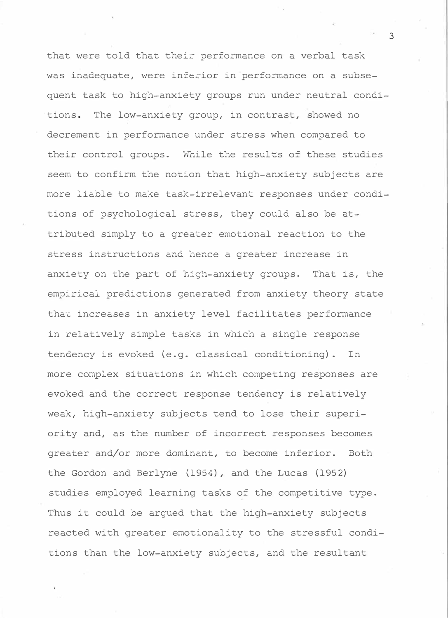that were told that their performance on a verbal task was inadequate, were inferior in performance on a subsequent task to high-anxiety groups run under neutral condi tions. The low-anxiety group, in contrast, showed no decrement in performance under stress when compared to their control groups. While t�e results of these studies seem to confirm the notion that high-anxiety subjects are more liable to make task-irrelevant responses under conditions of psychological stress, they could also be attributed simply to a greater emotional reaction to the stress instructions and hence a greater increase in anxiety on the part of high-anxiety groups. That is, the empirical predictions generated from anxiety theory state that increases in anxiety level facilitates performance in relatively simple tasks in which a single response tendency is evoked (e.g. classical conditioning). In more complex situations in which competing responses are evoked and the correct response tendency is relatively weak, high-anxiety subjects tend to lose their superiority and, as the number of incorrect responses becomes greater and/or more dominant, to become inferior. Both the Gordon and Berlyne (1954), and the Lucas (1952) studies employed learning tasks of the competitive type. Thus it could be argued that the high-anxiety subjects reacted with greater emotionality to the stressful conditions than the low-anxiety subjects, and the resultant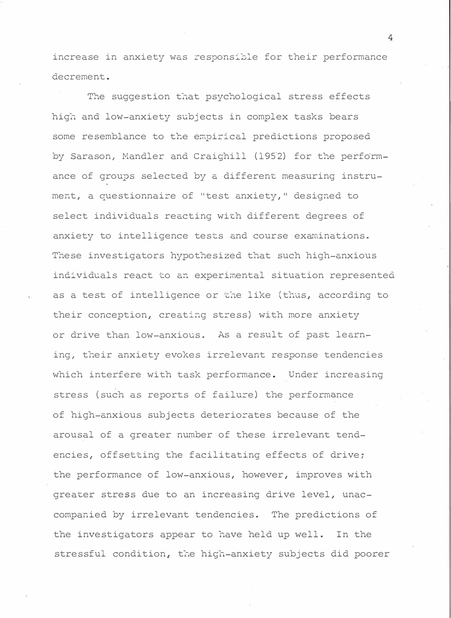increase in anxiety was responsible for their performance decrement.

The suggestion that psychological stress effects high and low-anxiety subjects in complex tasks bears some resemblance to the empirical predictions proposed by Sarason, Mandler and Craighill (1952) for the performance of groups selected by a different measuring instrument, a questionnaire of "test anxiety," designed to select individuals reacting with different degrees of anxiety to intelligence tests and course examinations. These investigators hypothesized that such high-anxious individuals react to an experimental situation represented as a test of intelligence or the like (thus, according to their conception, creating stress) with more anxiety or drive than low-anxious. As a result of past learning, their anxiety evokes irrelevant response tendencies which interfere with task performance. Under increasing stress (such as reports of failure) the performance of high-anxious subjects deteriorates because of the arousal of a greater number of these irrelevant tendencies, offsetting the facilitating effects of drive; the performance of low-anxious, however, improves with greater stress due to an increasing drive level, unaccompanied by irrelevant tendencies. The predictions of the investigators appear to have held up well. In the stressful condition, the high-anxiety subjects did poorer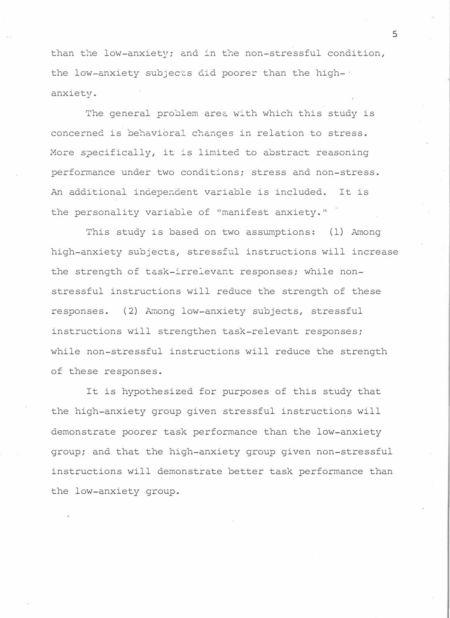than the low-anxiety; and in the non-stressful condition, the low-anxiety subjects did poorer than the high-· anxiety.

The general problem area with which this study is concerned is behavioral cha�ges in relation to stress. More specifically, it is limited to abstract reasoning performance under two conditions; stress and non-stress. An additional independent variable is included. It is the personality variable of "manifest anxiety."

This study is based on two assumptions: (1) Among high-anxiety subjects, stressful instructions will increase the strength of task-irrelevant responses; while nonstressful instructions will reduce the strength of these responses. (2) Among low-anxiety subjects, stressful instructions will strengthen task-relevant responses; while non-stressful instructions will reduce the strength of these responses.

It is hypothesized for purposes of this study that the high-anxiety group given stressful instructions will demonstrate poorer task performance than the low-anxiety group; and that the high-anxiety group given non-stressful instructions will demonstrate better task performance than the low-anxiety group.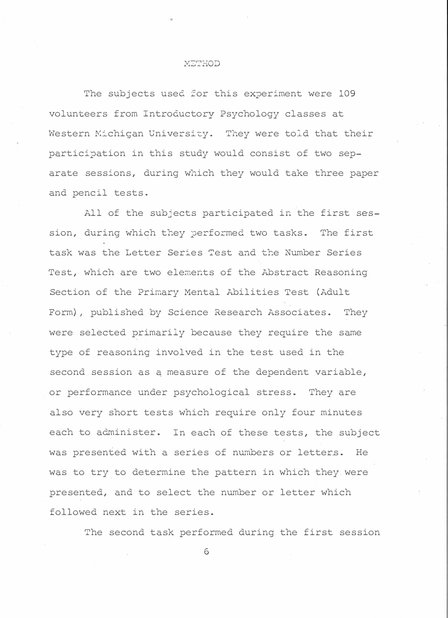#### METHOD

The subjects used for this experiment were 109 volunteers from Introductory Psychology classes at Western Michigan University. They were told that their participation in this study would consist of two separate sessions, during which they would take three paper and pencil tests.

All of the subjects participated in the first session, during which they performed two tasks. The first task was the Letter Series Test and the Number Series Test, which are two elements of the Abstract Reasoning Section of the Primary Mental Abilities Test (Adult Form), published by Science Research Associates. They were selected primarily because they require the same type of reasoning involved in the test used in the second session as a measure of the dependent variable, or performance under psychological stress. They are also very short tests which require only four minutes each to administer. In each of these tests, the subject was presented with a series of numbers or letters. He was to try to determine the pattern in which they.were presented, and to select the number or letter which followed next in the series.

The second task performed during the first session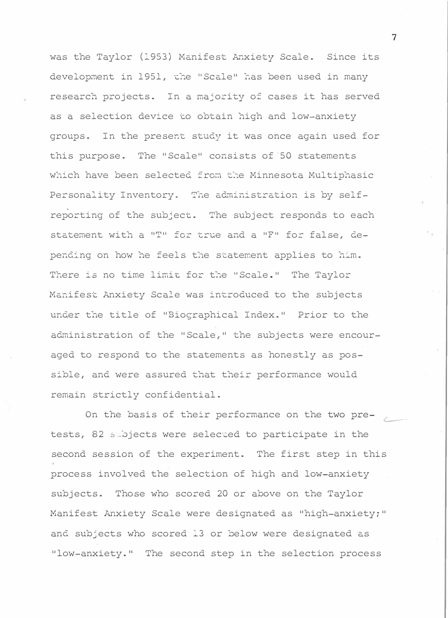was the Taylor (1953) Manifest Anxiety Scale. Since its development in 1951, the "Scale" has been used in many research projects. In a majority of cases it has served as a selection device to obtain high and low-anxiety groups. In the present study it was once again used for this purpose. The "Scale" consists of ·so statements which have been selected from the Minnesota Multiphasic Personality Inventory. The administration is by selfreporting of the subject. The subject responds to each statement with a "T" for true and a "F" for false, depending on how he feels the statement applies to him. There is no time limit for the "Scale." The Taylor Manifest Anxiety Scale was introduced to the subjects under the title of "Biographical Index." Prior to the administration of the "Scale," the subjects were encouraged to respond to the statements as honestly as possible, and were assured that their performance would remain strictly confidential.

On the basis of their performance on the two pretests, 82 subjects were selected to participate in the second session of the experiment. The first step in this process involved the selection of high and low-anxiety subjects. Those who scored 20 or above on the Taylor Manifest Anxiety Scale were designated as "high-anxiety;" and subjects who scored 13 or below were designated as "low-anxiety." The second step in the selection process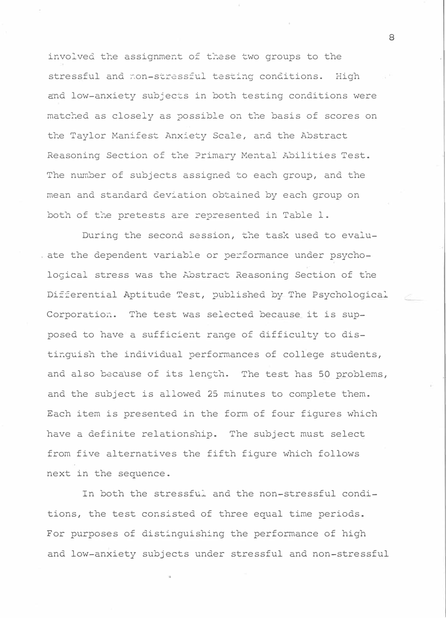involved the assignment of these two groups to the stressful and non-stressful testing conditions. High and low-anxiety subjects in both testing conditions were matched as closely as possible on the basis of scores on the Taylor Manifest Anxiety Scale, and the Abstract Reasoning Section of the Primary Mental Abilities Test. The number of subjects assigned to each group, and the mean and standard deviation obtained by each group on both of the pretests are represented in Table 1.

During the second session, the task used to evaluate the dependent variable or performance under psychological stress was the Abstract Reasoning Section of the Differential Aptitude Test, published by The Psychological Corporation. The test was selected because it is supposed to have a sufficient range of difficulty to distinguish the individual performances of college students, and also because of its length. The test has 50 problems, and the subject is allowed 25 minutes to complete them. Each item is presented in the form of four figures which have a definite relationship. The subject must select from five alternatives the fifth figure which follows next in the sequence.

In both the stressful and the non-stressful conditions, the test consisted of three equal time periods. For purposes of distinguishing the performance of high and low-anxiety subjects under stressful and non-stressful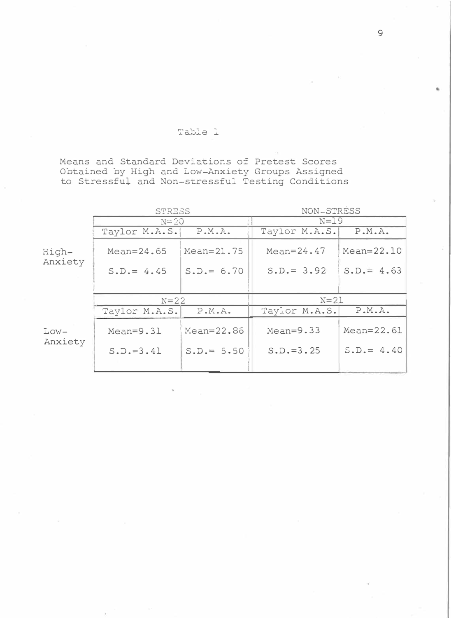### Table 1

Means and Standard Deviations of Pretest Scores Obtained by High and Low-Anxiety Groups Assigned to Stressful and Non-stressful Testing Conditions

|                   | <b>STRESS</b> | NON-STRESS     |                |                |  |  |  |
|-------------------|---------------|----------------|----------------|----------------|--|--|--|
|                   | $N = 20$      |                | $N=19$         |                |  |  |  |
|                   | Taylor M.A.S. | P.M.A.         | Taylor M.A.S.  | P.M.A.         |  |  |  |
| High-<br>Anxiety  | Mean= $24.65$ | Mean=21.75     | $Mean = 24.47$ | $Mean = 22.10$ |  |  |  |
|                   | $S.D.= 4.45$  | $S.D.= 6.70$   | $S.D. = 3.92$  | $S.D. = 4.63$  |  |  |  |
|                   |               |                |                |                |  |  |  |
|                   | $N=22$        |                | $N = 21$       |                |  |  |  |
|                   | Taylor M.A.S. | P.M.A.         | Taylor M.A.S.  | P.M.A.         |  |  |  |
| $Low-$<br>Anxiety | $Mean=9.31$   | $Mean = 22.86$ | $Mean=9.33$    | $Mean = 22.61$ |  |  |  |
|                   | $S.D.=3.41$   | $S.D.= 5.50$   | $S.D.=3.25$    | $S.D. = 4.40$  |  |  |  |
|                   |               |                |                |                |  |  |  |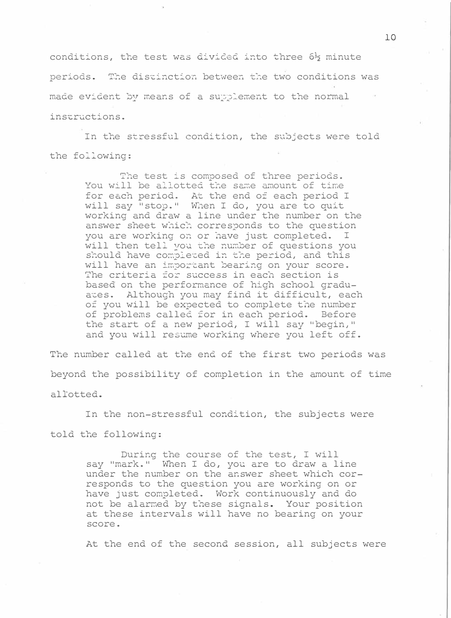conditions, the test was diviced into three 6½ minute periods. The distinction between the two conditions was made evident by means of a supplement to the normal instructions.

In the stressful condition, the subjects were told the following:

> The test is composed of three periods. You will be allotted the same amount of time for each period. At the end of each period I will say "stop." When I do, you are to quit working and draw a line under the number on the answer sheet which corresponds to the question you are working on or nave just completed. I will then tell you the number of questions you should have completed in the period, and this will have an important bearing on your score. The criteria for success in each section is based on the performance of high school gradua�es. Although you may find it difficult, each of you will be expected to complete tne number of problems called for in each period. Before the start of a new period, I will say "begin," and you will resume working where you left off.

The number called at the end of the first two periods was beyond the possibility of completion in the amount of time allotted.

In the non-stressful condition, the subjects were told the following:

> During the course of the test, I will say "mark." When I do, you are to draw a line under the number on the answer sheet which corresponds to the question you are working on or have just completed. Work continuously and do not be alarmed by these signals. Your position at these intervals will have no bearing on your score.

At the end of the second session, all subjects were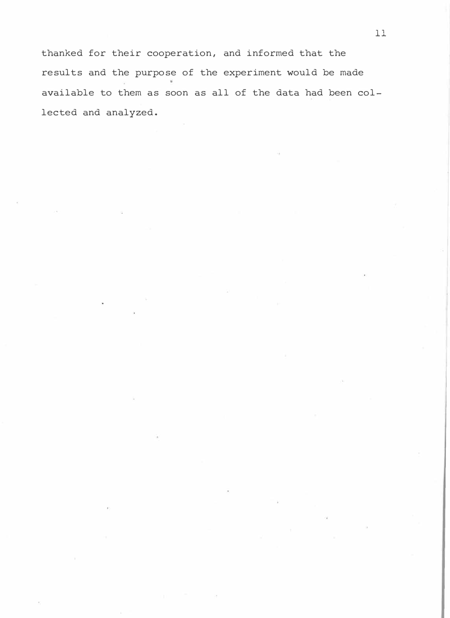thanked for their cooperation, and informed that the results and the purpose of the experiment would be made available to them as soon as all of the data had been collected and analyzed.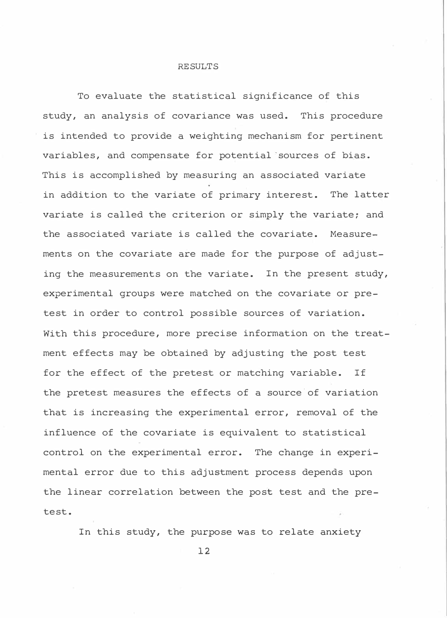#### RESULTS

To evaluate the statistical significance of this study, an analysis of covariance was used. This procedure is intended to provide a weighting mechanism for pertinent variables, and compensate for potential sources of bias. This is accomplished by measuring an associated variate in addition to the variate of primary interest. The latter variate is called the criterion or simply the variate; and the associated variate is called the covariate. Measurements on the covariate are made for the purpose of adjusting the measurements on the variate. In the present study, experimental groups were matched on the covariate or pretest in order to control possible sources of variation. With this procedure, more precise information on the treatment effects may be obtained by adjusting the post test for the effect of the pretest or matching variable. If the pretest measures the effects of a source'of variation that is increasing the experimental error, removal of the influence of the covariate is equivalent to statistical control on the experimental error. The change in experimental error due to this adjustment process depends upon the linear correlation between the post test and the pretest.

In this study, the purpose was to relate anxiety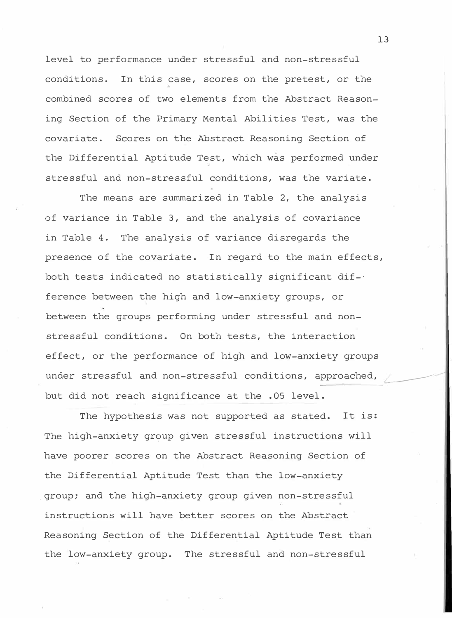level to performance under stressful and non-stressful conditions. In this case, scores on the pretest, or the combined scores of two elements from the Abstract Reasoning Section of the Primary Mental Abilities Test, was the covariate. Scores on the Abstract Reasoning Section of the Differential Aptitude Test, which was performed under stressful and non-stressful conditions, was the variate.

The means are summarized in Table 2, the analysis of variance in Table 3, and the analysis of covariance in Table 4. The analysis of variance disregards the presence of the covariate. In regard to the main effects, both tests indicated no statistically significant dif-· ference between the high and low-anxiety groups, or between the groups performing under stressful and nonstressful conditions. On both tests, the interaction effect, or the performance of high and low-anxiety groups under stressful and non-stressful conditions, approached, but did not reach significance at the .05 level.

The hypothesis was not supported as stated. It is: The high-anxiety group given stressful instructions will have poorer scores on the Abstract Reasoning Section of the Differential Aptitude Test than the low-anxiety group; and the high-anxiety group given non-stressful instructions will have better scores on the Abstract Reasoning Section of the Differential Aptitude Test than the low-anxiety group. The stressful and non-stressful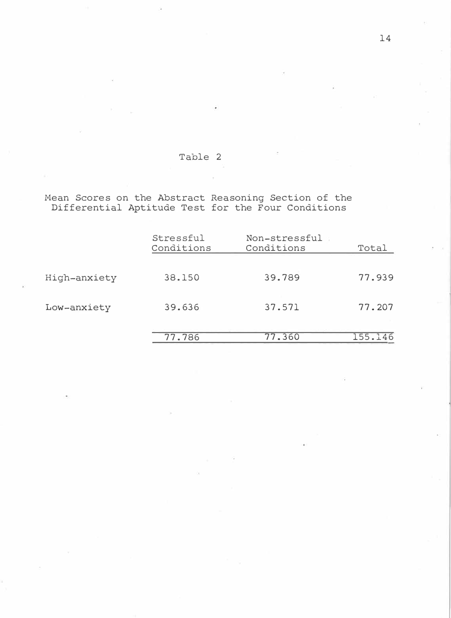Mean Scores on the Abstract Reasoning Section of the Differential Aptitude Test for the Four Conditions

|              | Stressful<br>Conditions | Non-stressful<br>Conditions | Total   |  |  |
|--------------|-------------------------|-----------------------------|---------|--|--|
| High-anxiety | 38.150                  | 39.789                      | 77.939  |  |  |
| Low-anxiety  | 39.636                  | 37.571                      | 77.207  |  |  |
|              | 77.786                  | 77.360                      | 155.146 |  |  |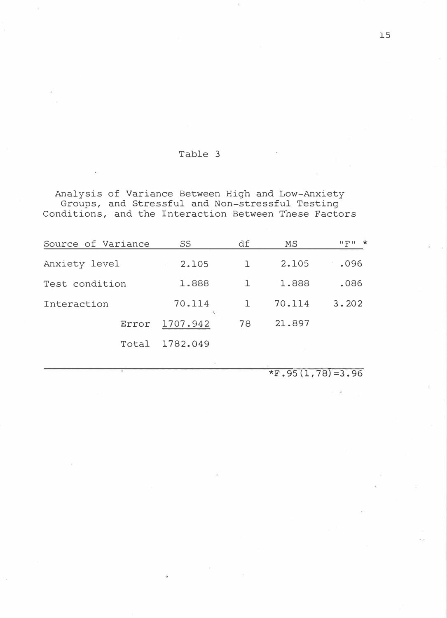### Table 3

Analysis of Variance Between High and Low-Anxiety Groups, and Stressful and Non-stressful Testing Conditions, and the Interaction Between These Factors

| SS       | df                       | MS     | $\star$<br>프로프 |
|----------|--------------------------|--------|----------------|
| 2.105    |                          | 2.105  | .096           |
| 1.888    |                          | 1.888  | .086           |
| 70.114   |                          | 70.114 | 3.202          |
| 1707.942 | 78                       | 21.897 |                |
| 1782.049 |                          |        |                |
|          | $\mathcal{L}_\mathbf{k}$ |        |                |

**\*F.95(1,78)=3.96**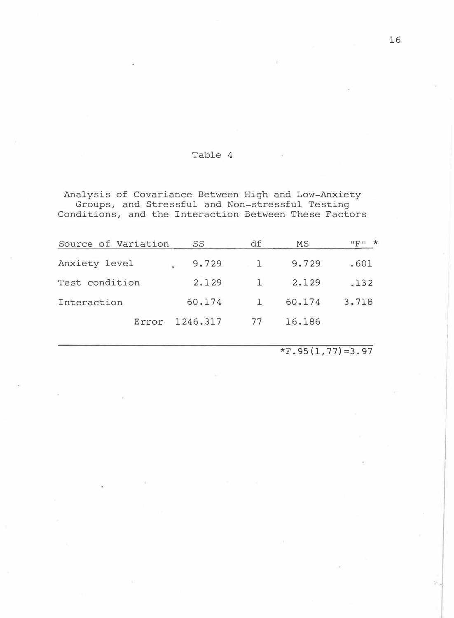### Table 4

Analysis of Covariance Between High and Low-Anxiety Groups, and Stressful and Non-stressful Testing Conditions, and the Interaction Between These Factors

| Source of Variation | SS 55    | df           | MS     | $n \nabla u \times$ |
|---------------------|----------|--------------|--------|---------------------|
| Anxiety level       | 9.729    | $\cdot$ 1    | 9.729  | .601                |
| Test condition      | 2.129    | $\perp$      | 2.129  | .132                |
| Interaction         | 60.174   | $\mathbf{1}$ | 60.174 | 3.718               |
| Error               | 1246.317 | 77           | 16.186 |                     |

 $*F.95(1,77)=3.97$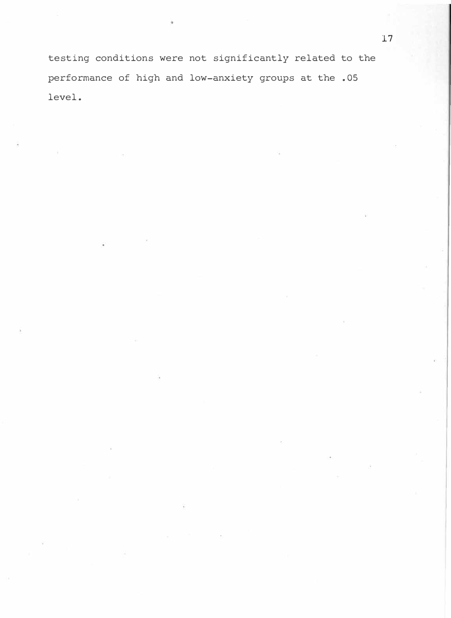testing conditions were not significantly related to the performance of high and low-anxiety groups at the .05 level.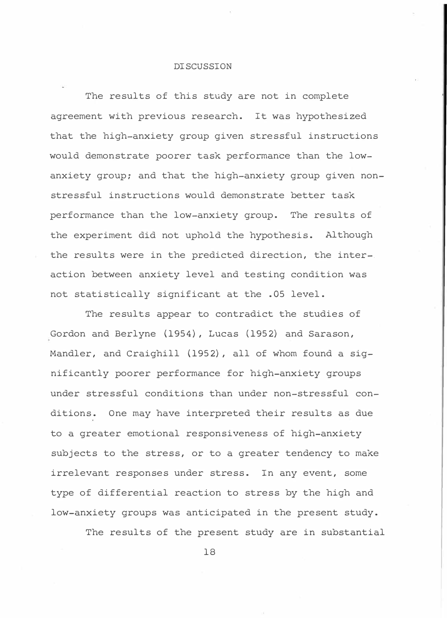#### DISCUSSION

The results of this study are not in complete agreement with previous research. It was hypothesized that the high-anxiety group given stressful instructions would demonstrate poorer task performance than the lowanxiety group; and that the high-anxiety group given nonstressful instructions would demonstrate better task performance than the low-anxiety group. The results of the experiment did not uphold the hypothesis. Although the results were in the predicted direction, the inter-. action between anxiety level and testing condition was not statistically significant at the .05 level.

The results appear to contradict the studies of Gordon and Berlyne (1954), Lucas (1952) and Sarason, Mandler, and Craighill (1952), all of whom found a significantly poorer performance for high-anxiety groups under stressful conditions than under non-stressful conditions. One may have interpreted their results as due to a greater emotional responsiveness of high-anxiety subjects to the stress, or to a greater tendency to make irrelevant responses under stress. In any event, some type of differential reaction to stress by the high and low-anxiety groups was anticipated in the present study.

The results of the present study are in substantial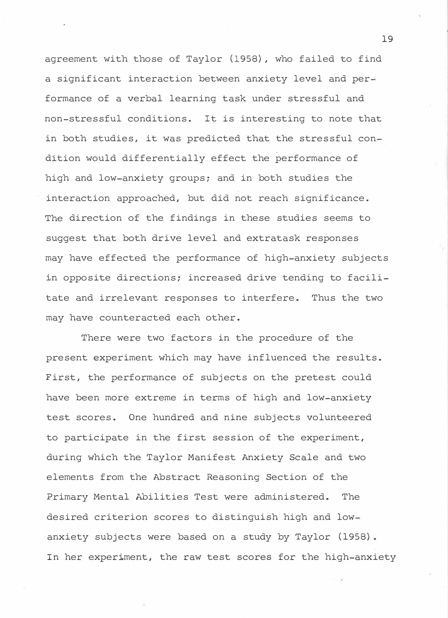agreement with those of Taylor (1958), who failed to find a significant interaction between anxiety level and performance of a verbal learning task under stressful and non-stressful conditions. It is interesting to note that in both studies, it was predicted that the stressful condition would differentially effect the performance of high and low-anxiety groups; and in both studies the interaction approached, but did not reach significance. The direction of the findings in these studies seems to suggest that both drive level and extratask responses may have effected the performance of high-anxiety subjects in opposite directions; increased drive tending to facilitate and irrelevant responses to interfere. Thus the two may have counteracted each other.

There were two factors in the procedure of the present experiment which may have influenced the results. First, the performance of subjects on the pretest could have been more extreme in terms of high and low-anxiety test scores. One hundred and nine subjects volunteered to participate in the first session of the experiment, during which the Taylor Manifest Anxiety Scale and two elements from the Abstract Reasoning Section of the Primary Mental Abilities Test were administered. The desired criterion scores to distinguish high and lowanxiety subjects were based on a study by Taylor (1958). In her experiment, the raw test scores for the high-anxiety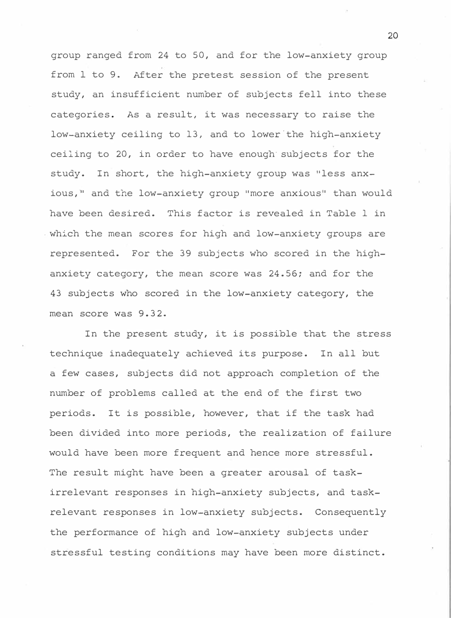group ranged from 24 to 50, and for the low-anxiety group from 1 to 9. After the pretest session of the present study, an insufficient number of subjects fell into these categories. As a result, it was necessary to raise the low-anxiety ceiling to 13, and to lower the high-anxiety ceiling to 20, in order to have enough· subjects for the study. In short, the high-anxiety group was "less anxious," and the low-anxiety group "more anxious" than would have been desired. This factor is revealed in Table 1 in which the mean scores for high and low-anxiety groups are represented. For the 39 subjects who scored in the highanxiety category, the mean score was 24.56; and for the 43 subjects who scored in the low-anxiety category, the mean score was 9.32.

In the present study, it is possible that the stress technique inadequately achieved its purpose. In all but a few cases, subjects did not approach completion of the number of problems called at the end of the first two periods. It is possible, however, that if the task had been divided into more periods, the realization of failure would have been more frequent and hence more stressful. The result might have been a greater arousal of taskirrelevant responses in high-anxiety subjects, and taskrelevant responses in low-anxiety subjects. Consequently the performance of high and low-anxiety subjects under stressful testing conditions may have been more distinct.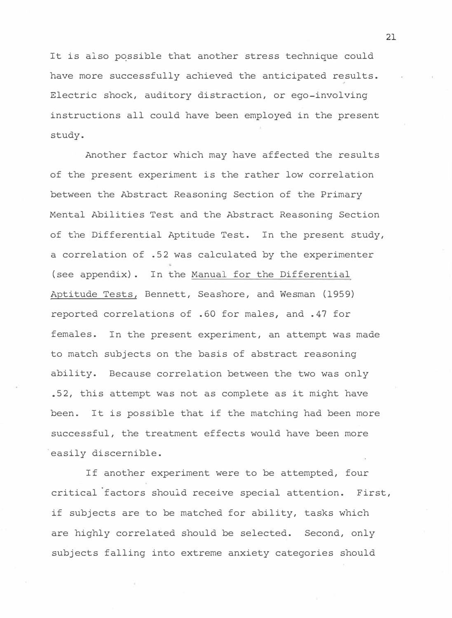It is also possible that another stress technique could have more successfully achieved the anticipated results. Electric shock, auditory distraction, or ego-involving instructions all could have been employed in the present study.

Another factor which may have affected the results of the present experiment is the rather low correlation between the Abstract Reasoning Section of the Primary Mental Abilities Test and the Abstract Reasoning Section of the Differential Aptitude Test. In the present study, a correlation of .52 was calculated by the experimenter (see appendix). In the Manual for the Differential Aptitude Tests, Bennett, Seashore, and Wesman (1959) reported correlations of .60 for males, and .47 for females. In the present experiment, an attempt was made to match subjects on the basis of abstract reasoning ability. Because correlation between the two was only .52, this attempt was not as complete as it might have been. It is possible that if the matching had been more successful, the treatment effects would have been more easily discernible.

If another experiment were to be attempted, four critical factors should receive special attention. First, if subjects are to be matched for ability, tasks which are highly correlated should be selected. Second, only subjects falling into extreme anxiety categories should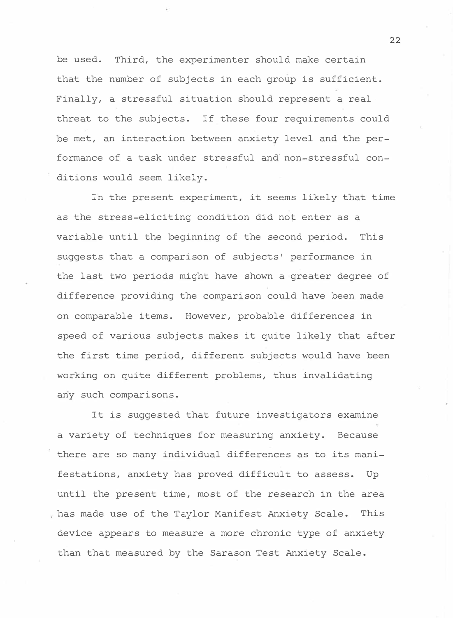be used. Third, the experimenter should make certain that the number of subjects in each group is sufficient. Finally, a stressful situation should represent a real· threat to the subjects. If these four requirements could be met, an interaction between anxiety level and the performance of a task under stressful and· non-stressful conditions would seem likely.

In the present experiment, it seems likely that time as the stress-eliciting condition did not enter as a variable until the beginning of the second period. This suggests that a comparison of subjects' performance in the last two periods might have shown a greater degree of difference providing the comparison could have been made on comparable items. However, probable differences in speed of various subjects makes it quite likely that after the first time period, different subjects would have been working on quite different problems, thus invalidating any such comparisons.

It is suggested that future investigators examine a variety of techniques for measuring anxiety. Because there are so many individual differences as to its manifestations, anxiety has proved difficult to assess. Up until the present time, most of the research in the area has made use of the Taylor Manifest Anxiety Scale. This device appears to measure a more chronic type of anxiety than that measured by the Sarason Test Anxiety Scale.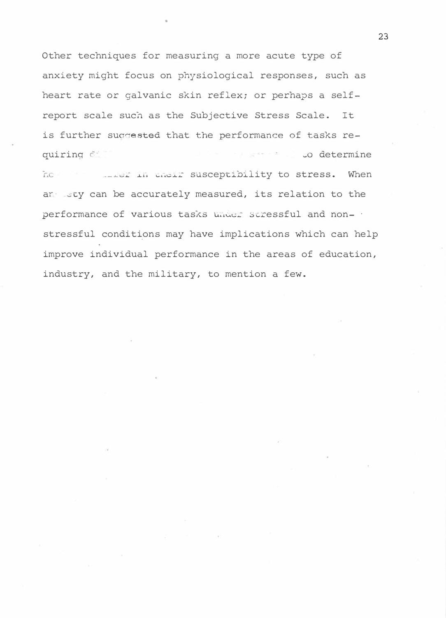Other techniques for measuring a more acute type of anxiety might focus on physiological responses, such as heart rate or galvanic skin reflex; or perhaps a selfreport scale such as the Subjective Stress Scale. It is further succested that the performance of tasks requiring  $\tilde{c}$  complements are completed as the contract of determine

he stress. When it is their susceptibility to stress. When ar ety can be accurately measured, its relation to the performance of various tasks under stressful and non- · stressful conditions may have implications which can help improve individual performance in the areas of education, industry, and the military, to mention a few.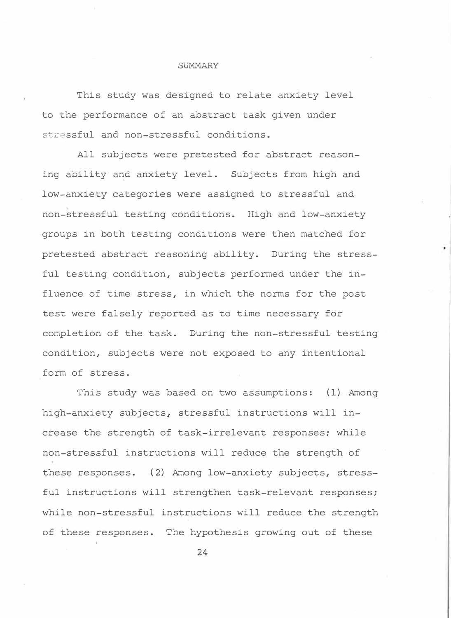#### SUMMARY

This study was designed to relate anxiety level to the performance of an abstract task given under stressful and non-stressful conditions.

All subjects were pretested for abstract reasoning ability a�d anxiety level. Subjects from high and low-anxiety categories were assigned to stressful and non-stressful testing conditions. High and low-anxiety groups in both testing conditions were then matched for pretested abstract reasoning ability. During the stressful testing condition, subjects performed under the influence of time stress, in which the norms for the post test were falsely reported as to time necessary for completion of the task. During the non-stressful testing condition, subjects were not exposed to any intentional form of stress.

This study was based on two assumptions: (1) Among high-anxiety subjects, stressful instructions will increase the strength of task-irrelevant responses; while non-stressful instructions will reduce the strength of these responses. (2) Among low-anxiety subjects, stressful instructions will strengthen task-relevant responses; while non-stressful instructions will reduce the strength of these responses. The hypothesis growing out of these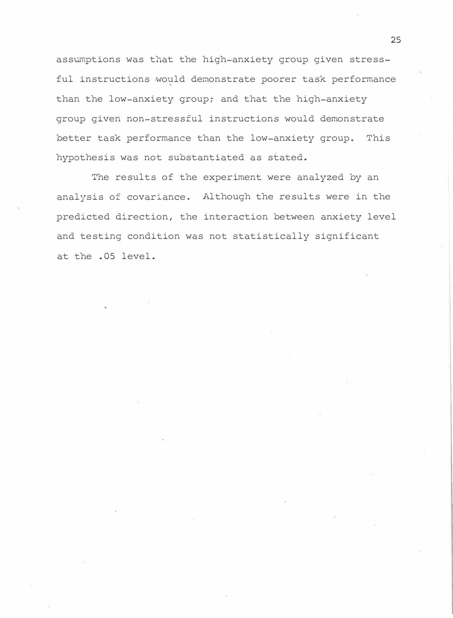asswnptions was that the high-anxiety group given stressful instructions wo�ld demonstrate poorer task performance than the low-anxiety group; and that the high-anxiety group given non-stressful instructions would demonstrate better task performance than the low-anxiety group. This hypothesis was not substantiated as stated.

The results of the experiment were analyzed by an analysis of covariance. Although the results were in the predicted direction, the interaction between anxiety level and testing condition was not statistically significant at the .05 level.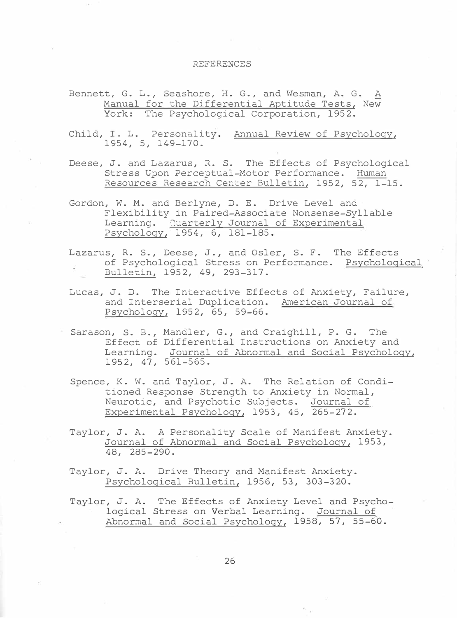#### REFERENCES

- Bennett, G. L., Seashore, H. G., and Wesman, A. G. A Manual for the Differential Aptitude Tests, New York: The Psychological Corporation, 1952.
- Child, I. L. Personality. Annual Review of Psychology, 1954, 5, 149-170.
- Deese, J. and Lazarus, R. S. The Effects of Psychological Stress Upon Perceptual-Motor Performance. Human Resources Research Center Bulletin, 1952, 52, 1-15.
- Gordon, W. M. and Berlyne, D. E. Drive Level and Flexibility in Paired-Associate Nonsense-Syllable Learning. Quarterly Journal of Experimental Psychology, 1954, 6, 181-185.
- Lazarus, R. S., Deese, J., and Osler, S. F. The Effects of Psychological Stress on Performance. Psychological Bulletin, 1952, 49, 293-317.
- Lucas, J. D. The Interactive Effects of Anxiety, Failure, and Interserial Duplication. American Journal of Psychology, 1952, 65, 59-66.
- Sarason, S. B., Effect of Learning. Journal of Abnormal and Social Psychology, 1952, 47, 561-565. Mandler, G., and Craighill, P. G. The Differential Instructions on Anxiety and
- Spence, K. W. and Taylor, J. A. The Relation of Conditioned Response Strength to Anxiety in Normal, Neurotic, and Psychotic Subjects. Journal of Experimental Psychology, 1953, 45, 265-272.
- Taylor, J. A. A Personality Scale of Manifest Anxiety. Journal of Abnormal and Social Psychology, 1953, 48, 285-290.
- Taylor, J. A. Drive Theory and Manifest Anxiety. Psychological Bulletin, 1956, 53, 303-3·20.

Taylor, J. A. The Effects of Anxiety Level and Psychological Stress on Verbal Learning. Journal of Abnormal and Social Psychology, 1958, 57, 55-60.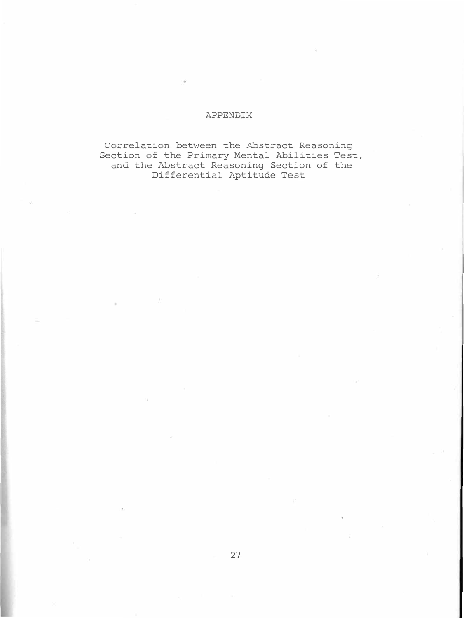### APPENDIX

Correlation between the Abstract Reasoning Section of the Primary Mental Abilities Test, and the Abstract Reasoning Section of the Differential Aptitude Test